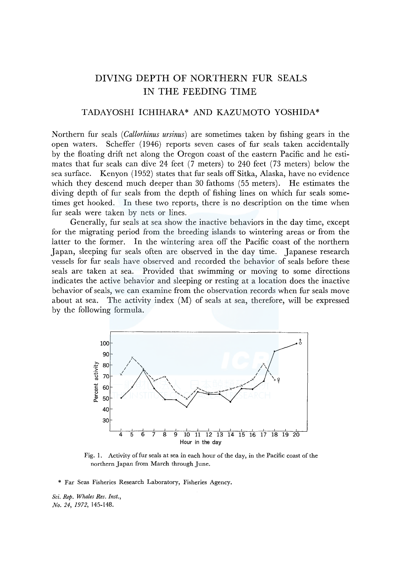# DIVING DEPTH OF NORTHERN FUR SEALS IN THE FEEDING TIME

## TADAYOSHI ICHIHARA\* AND KAZUMOTO YOSHIDA\*

Northern fur seals ( *Callorhinus ursinus)* are sometimes taken by fishing gears in the open waters. Scheffer (1946) reports seven cases of fur seals taken accidentally by the floating drift net along the Oregon coast of the eastern Pacific and he estimates that fur seals can dive 24 feet (7 meters) to 240 feet (73 meters) below the sea surface. Kenyon ( 1952) states that fur seals off Sitka, Alaska, have no evidence which they descend much deeper than 30 fathoms (55 meters). He estimates the diving depth of fur seals from the depth of fishing lines on which fur seals sometimes get hooked. In these two reports, there is no description on the time when fur seals were taken by nets or lines.

Generally, fur seals at sea show the inactive behaviors in the day time, except for the migrating period from the breeding islands to wintering areas or from the latter to the former. In the wintering area off the Pacific coast of the northern Ja pan, sleeping fur seals often are observed in the day time. Japanese research vessels for fur seals have observed and recorded the behavior of seals before these seals are taken at sea. Provided that swimming or moving to some directions indicates the active behavior and sleeping or resting at a location does the inactive behavior of seals, we can examine from the observation records when fur seals move about at sea. The activity index (M) of seals at sea, therefore, will be expressed by the following formula.



Fig. 1. Activity of fur seals at sea in each hour of the day, in the Pacific coast of the northern Japan from March through June.

\* Far Seas Fisheries Research Laboratory, Fisheries Agency.

*Sci. Rep. Whales Res. Inst., No. 24, 1972,* 145-148.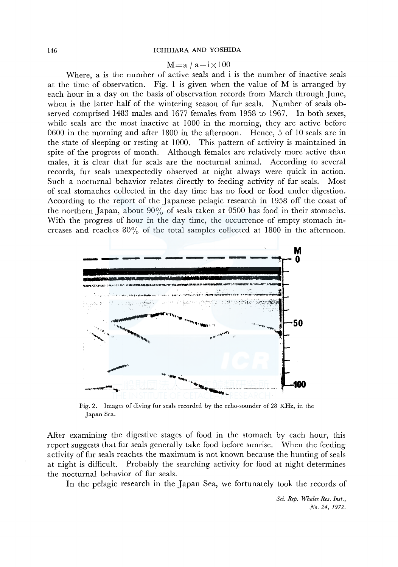#### 146 ICHIHARA AND YOSHIDA

### $M=a / a+i \times 100$

Where, a is the number of active seals and i is the number of inactive seals at the time of observation. Fig. 1 is given when the value of M is arranged by each hour in a day on the basis of observation records from March through June, when is the latter half of the wintering season of fur seals. Number of seals observed comprised 1483 males and 1677 females from 1958 to 1967. In both sexes, while seals are the most inactive at 1000 in the morning, they are active before 0600 in the morning and after 1800 in the afternoon. Hence, 5 of 10 seals are in the state of sleeping or resting at 1000. This pattern of activity is maintained in spite of the progress of month. Although females are relatively more active than males, it is clear that fur seals are the nocturnal animal. According to several records, fur seals unexpectedly observed at night always were quick in action. Such a nocturnal behavior relates directly to feeding activity of fur seals. Most of seal stomaches collected in the day time has no food or food under digestion. According to the report of the Japanese pelagic research in 1958 off the coast of the northern Japan, about 90% of seals taken at 0500 has food in their stomachs. With the progress of hour in the day time, the occurrence of empty stomach increases and reaches  $80\%$  of the total samples collected at 1800 in the afternoon.



Fig. 2. Images of diving fur seals recorded by the echo-sounder of 28 KHz, in the Japan Sea.

After examining the digestive stages of food in the stomach by each hour, this report suggests that fur seals generally take food before sunrise. When the feeding activity of fur seals reaches the maximum is not known because the hunting of seals at night is difficult. Probably the searching activity for food at night determines the nocturnal behavior of fur seals.

In the pelagic research in the Japan Sea, we fortunately took the records of

*Sci. Rep. Whales Res. Inst., No. 24, 1972.*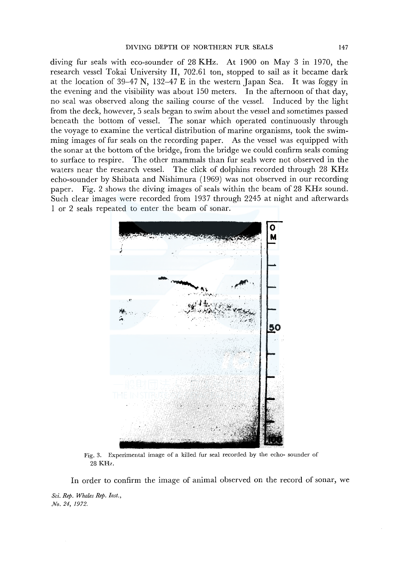diving fur seals with eco-sounder of 28 KHz. At 1900 on May 3 in 1970, the research vessel Tokai University II, 702.61 ton, stopped to sail as it became dark at the location of  $39-47$  N,  $132-47$  E in the western Japan Sea. It was foggy in the evening and the visibility was about 150 meters. In the afternoon of that day, no seal was observed along the sailing course of the vessel. Induced by the light from the deck, however, 5 seals began to swim about the vessel and sometimes passed beneath the bottom of vessel. The sonar which operated continuously through the voyage to examine the vertical distribution of marine organisms, took the swimming images of fur seals on the recording paper. As the vessel was equipped with the sonar at the bottom of the bridge, from the bridge we could confirm seals coming to surface to respire. The other mammals than fur seals were not observed in the waters near the research vessel. The click of dolphins recorded through 28 KHz echo-sounder by Shibata and Nishimura (1969) was not observed in our recording paper. Fig. 2 shows the diving images of seals within the beam of 28 KHz sound. Such clear images were recorded from 1937 through 2245 at night and afterwards 1 or 2 seals repeated to enter the beam of sonar.



Fig. 3. Experimental image of a killed fur seal recorded by the echo- sounder of 28KHz.

In order to confirm the image of animal observed on the record of sonar, we

*Sci. Rep. Whales Rep. Inst., No. 24, 1972.*